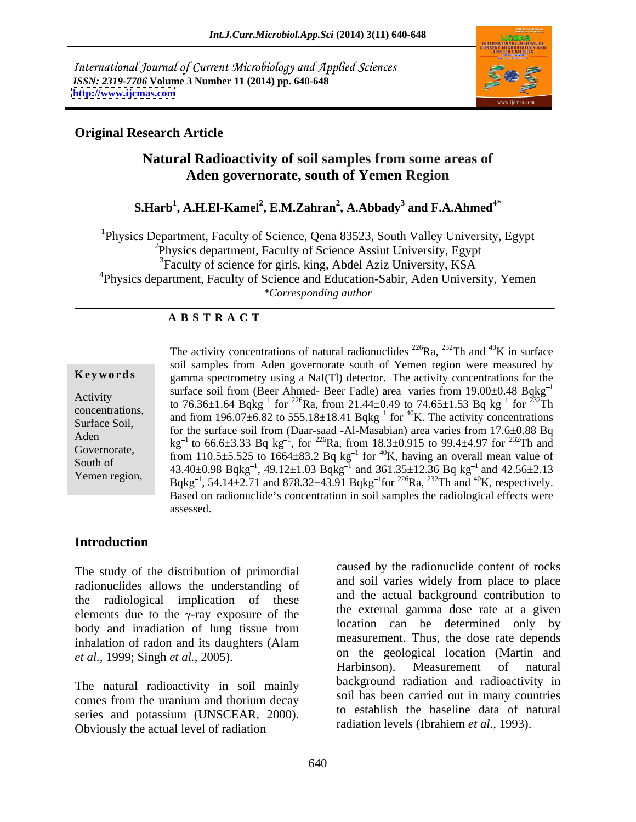International Journal of Current Microbiology and Applied Sciences *ISSN: 2319-7706* **Volume 3 Number 11 (2014) pp. 640-648 <http://www.ijcmas.com>**



# **Original Research Article**

# **Natural Radioactivity of soil samples from some areas of Aden governorate, south of Yemen Region**

### **S.Harb<sup>1</sup> , A.H.El-Kamel<sup>2</sup> , E.M.Zahran<sup>2</sup> , A.Abbady<sup>3</sup> and F.A.Ahmed4\***

1Physics Department, Faculty of Science, Qena 83523, South Valley University, Egypt <sup>2</sup>Physics department, Faculty of Science Assiut University, Egypt <sup>3</sup>Faculty of science for girls, king, Abdel Aziz University, KSA <sup>4</sup>Physics department, Faculty of Science and Education-Sabir, Aden University, Yemen *\*Corresponding author* 

# **A B S T R A C T**

**Keywords** gamma spectrometry using a NaI(Tl) detector. The activity concentrations for the Activity<br>to  $76.36\pm1.64$  Bqkg<sup>-1</sup> for <sup>226</sup>Ra, from 21.44 $\pm$ 0.49 to  $74.65\pm1.53$  Bq kg<sup>-1</sup> for <sup>232</sup>Th concentrations,<br>
and from 196.07 $\pm$ 6.82 to 555.18 $\pm$ 18.41 Bqkg<sup>-1</sup> for <sup>40</sup>K. The activity concentrations Surface Soil,  $\frac{\text{and from 150.07} \pm 0.02}{\text{for the surface soil from (Daar-saad -Al-Masabian) area varies from 17.6} \pm 0.88 \text{ Bq}}$ Aden  $kg^{-1}$  to 66.6 $\pm$ 3.33 Bq kg<sup>-1</sup>, for <sup>226</sup>Ra, from 18.3 $\pm$ 0.915 to 99.4 $\pm$ 4.97 for <sup>232</sup>Th and Governorate,<br>
from 110.5±5.525 to 1664±83.2 Bq kg<sup>-1</sup> for <sup>40</sup>K, having an overall mean value of South of  $\begin{array}{c} 43.40 \pm 0.98 \text{ Bqkg}^{-1}, 49.12 \pm 1.03 \text{ Bqkg}^{-1} \text{ and } 361.35 \pm 12.36 \text{ Bq kg}^{-1} \text{ and } 42.56 \pm 2.13 \end{array}$ The activity concentrations of natural radionuclides <sup>226</sup>Ra, <sup>232</sup>Th and <sup>40</sup>K in surface<br>
soil samples from Aden governorate south of Yemen region were measured by<br>
gamma spectrometry using a NaI(TI) detector. The activ  $^{40}$ K in surface soil samples from Aden governorate south of Yemen region were measured by surface soil from (Beer Ahmed- Beer Fadle) area varies from  $19.00\pm0.48$  Bqkg<sup>-1</sup> 1  $\frac{1}{2}$  for  $\frac{232}{\pi}$ for  $232$ Th <sup>1</sup> and  $42.56 \pm 2.13$ Bqkg<sup>-1</sup>, 54.14±2.71 and 878.32±43.91 Bqkg<sup>-1</sup>for <sup>226</sup>Ra, <sup>232</sup>Th and <sup>40</sup>K, respectively.<br>Based on radionuclide's concentration in soil samples the radiological effects were assessed.

# **Introduction**

The study of the distribution of primordial radionuclides allows the understanding of the radiological implication of these elements due to the  $\gamma$ -ray exposure of the body and irradiation of lung tissue from inhalation of radon and its daughters (Alam

The natural radioactivity in soil mainly comes from the uranium and thorium decay series and potassium (UNSCEAR, 2000). Obviously the actual level of radiation

*et al.*, 1999; Singh *et al.*, 2005). The property on the geological location (Martin and Harbinson). Measurement of natural caused by the radionuclide content of rocks and soil varies widely from place to place and the actual background contribution to the external gamma dose rate at a given location can be determined only by measurement. Thus, the dose rate depends on the geological location (Martin and Harbinson). Measurement background radiation and radioactivity in soil has been carried out in many countries to establish the baseline data of natural radiation levels (Ibrahiem *et al.,* 1993).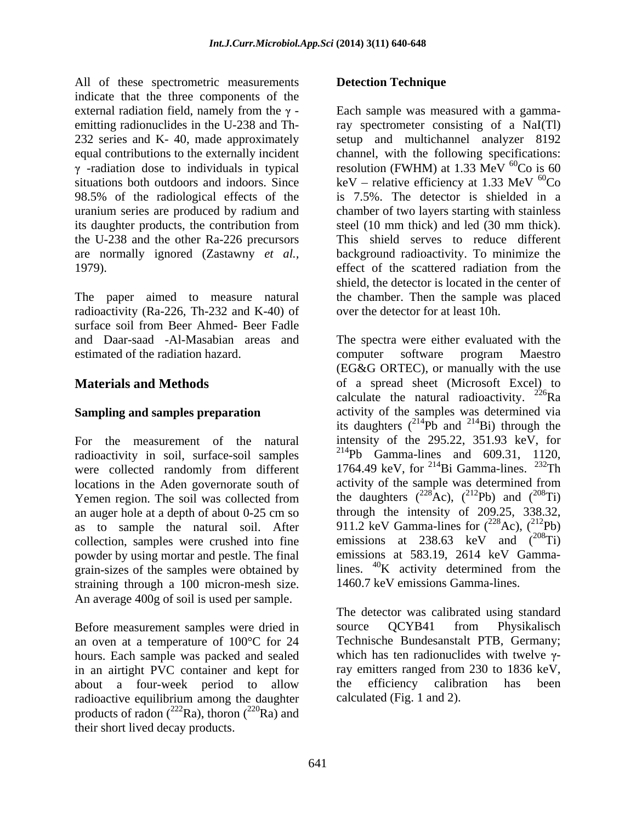All of these spectrometric measurements **Detection Technique** indicate that the three components of the situations both outdoors and indoors. Since uranium series are produced by radium and 1979). effect of the scattered radiation from the

radioactivity (Ra-226, Th-232 and K-40) of surface soil from Beer Ahmed- Beer Fadle estimated of the radiation hazard.

radioactivity in soil, surface-soil samples were collected randomly from different an auger hole at a depth of about 0-25 cm so as to sample the natural soil. After collection, samples were crushed into fine powder by using mortar and pestle. The final emissions at 583.19, 2614 keV Gamma-<br>grain-sizes of the samples were obtained by lines. <sup>40</sup>K activity determined from the grain-sizes of the samples were obtained by straining through a 100 micron-mesh size. An average 400g of soil is used per sample.

Before measurement samples were dried in source QCYB41 from Physikalisch an oven at a temperature of 100°C for 24 in an airtight PVC container and kept for about a four-week period to allow the efficiency calibration has been radioactive equilibrium among the daughter products of radon ( $^{222}$ Ra), thoron ( $^{220}$ Ra) and their short lived decay products.

# **Detection Technique**

external radiation field, namely from the  $\gamma$ - Each sample was measured with a gammaemitting radionuclides in the U-238 and Th- ray spectrometer consisting of a NaI(Tl) 232 series and K- 40, made approximately setup and multichannel analyzer 8192 equal contributions to the externally incident channel, with the following specifications:<br>  $\gamma$ -radiation dose to individuals in typical resolution (FWHM) at 1.33 MeV  ${}^{60}Co$  is 60 98.5% of the radiological effects of the is 7.5%. The detector is shielded in a its daughter products, the contribution from steel (10 mm thick) and led (30 mm thick). the U-238 and the other Ra-226 precursors This shield serves to reduce different are normally ignored (Zastawny *et al.,* background radioactivity. To minimize the The paper aimed to measure natural the chamber. Then the sample was placed channel, with the following specifications: resolution (FWHM) at 1.33 MeV  ${}^{60}Co$  is 60  ${}^{60}Co$  is 60 keV – relative efficiency at 1.33 MeV  ${}^{60}Co$  $60<sub>Co</sub>$ chamber of two layers starting with stainless effect of the scattered radiation from the shield, the detector is located in the center of over the detector for at least 10h.

and Daar-saad -Al-Masabian areas and The spectra were either evaluated with the **Materials and Methods of a spread sheet (Microsoft Excel)** to **Sampling and samples preparation** activity of the samples was determined via For the measurement of the natural intensity of the 295.22, 351.93 keV, for locations in the Aden governorate south of activity of the sample was determined from Yemen region. The soil was collected from the daughters  $(^{226}Ac)$ ,  $(^{212}Pb)$  and  $(^{206}Ti)$ computer software program Maestro (EG&G ORTEC), or manually with the use calculate the natural radioactivity.  $226$ Ra its daughters  $(^{214}Pb)$  and  $^{214}Bi)$  through the  $^{214}$ Bi) through the  $^{214}Pb$  Gamma-lines and 609.31, 1120, 1764.49 keV, for  $^{214}$ Bi Gamma-lines.  $^{232}$ Th the daughters  $(^{228}Ac)$ ,  $(^{212}Pb)$  and  $(^{208}Ti)$ through the intensity of 209.25, 338.32, 911.2 keV Gamma-lines for  $(^{228}Ac)$ ,  $(^{212}Pb)$ emissions at 238.63 keV and  $(^{208}Ti)$ emissions at 583.19, 2614 keV Gammalines.  $^{40}$ K activity determined from the 1460.7 keV emissions Gamma-lines.

hours. Each sample was packed and sealed which has ten radionuclides with twelve  $\gamma$ -The detector was calibrated using standard source QCYB41 from Physikalisch Technische Bundesanstalt PTB, Germany; ray emitters ranged from 230 to 1836 keV, the efficiency calibration has been calculated (Fig. 1 and 2).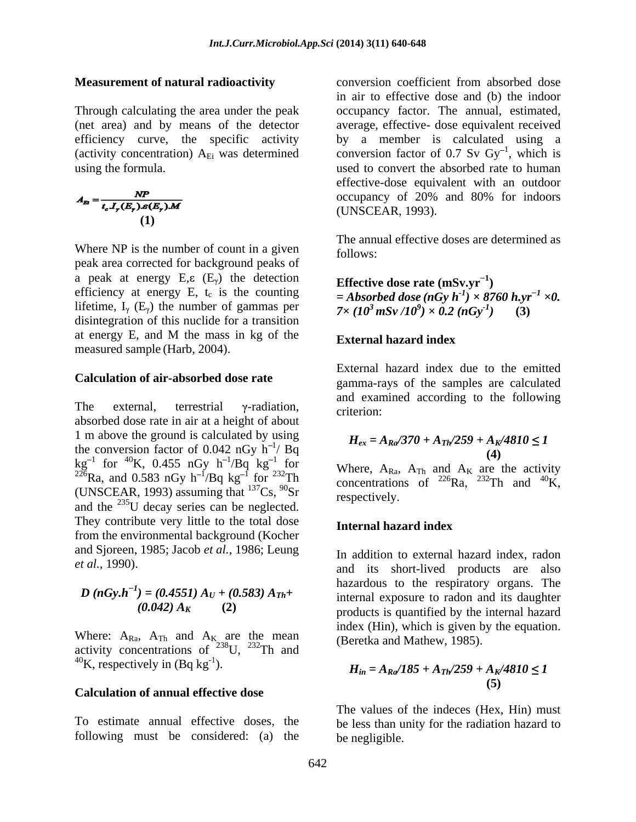$$
A_{\mathbf{E}} = \frac{NP}{t_c I_r (E_r) \mathcal{S}(E_r) \mathcal{M}}
$$
occupancy of 20% and 80% for indoors  
(UNSCEAR, 1993).  
(1)

Where NP is the number of count in a given follows: peak area corrected for background peaks of a peak at energy  $E, \varepsilon$  ( $E<sub>\gamma</sub>$ ) the detection efficiency at energy E, t<sub>c</sub> is the counting  $= Absorbed\, dose\,(nGy\,h^{-1}) \times 8760\,h.yr^{-1} \times 0.$ lifetime,  $I_{\gamma}$  (E<sub> $\gamma$ </sub>) the number of gammas per disintegration of this nuclide for a transition at energy E*,* and M the mass in kg of the measured sample (Harb, 2004).

### **Calculation of air-absorbed dose rate**

The external, terrestrial  $\gamma$ -radiation, criterion:<br>absorbed dose rate in air at a height of about 1 m above the ground is calculated by using the conversion factor of 0.042 nGy  $h^{-1}$ / Bq  $kg^{-1}$  for  $^{40}K$ , 0.455 nGy h<sup>-1</sup>/Bq  $kg^{-1}$  for Where A<sub>P</sub> A<sub>F</sub> and A<sub>F</sub> are the activity Equal to the set of the set of the set of the set of the set of the set of the set of the set of the set of the set of the set of the set of the set of the set of the set of the set of the set of the set of the set of the (UNSCEAR, 1993) assuming that  $^{137}Cs$ ,  $^{90}Sr$  respectively. and the 235U decay series can be neglected. They contribute very little to the total dose **Internal hazard index** from the environmental background (Kocher and Sjoreen, 1985; Jacob *et al.,* 1986; Leung

$$
D (nGy.h-1) = (0.4551) AU + (0.583) ATh + (0.042) AK
$$
 (2)

Where:  $A_{Ra}$ ,  $A_{Th}$  and  $A_K$  are the mean activity concentrations of  $238$ U,  $232$ Th and  $^{40}$ K, respectively in (Bq kg<sup>-1</sup>).

### **Calculation of annual effective dose**

following must be considered: (a) the

**Measurement of natural radioactivity** conversion coefficient from absorbed dose Through calculating the area under the peak occupancy factor. The annual, estimated, (net area) and by means of the detector average, effective- dose equivalent received efficiency curve, the specific activity by a member is calculated using a (activity concentration)  $A_{Ei}$  was determined conversion factor of 0.7 Sv  $Gy^{-1}$ , which is using the formula. used to convert the absorbed rate to human in air to effective dose and (b) the indoor  $\frac{1}{1}$  which is , which is effective-dose equivalent with an outdoor occupancy of 20% and 80% for indoors (UNSCEAR, 1993).

> The annual effective doses are determined as follows:

**Effective dose rate (mSv.vr**<sup> $-1$ </sup>) **)**  $(3 \times 8760 \text{ h.yr}^{-1} \times 0.$  *×0.*   $7 \times (10^3 \text{ mSv} / 10^9) \times 0.2 \text{ (nGv}^1)$  (3)  $(x) \times 0.2$  (nGy<sup>-1</sup>) (3) *)* **(3)**

### **External hazard index**

The external, terrestrial  $\gamma$ -radiation,  $\alpha$  -riterion. External hazard index due to the emitted gamma-rays of the samples are calculated and examined according to the following criterion:

$$
H_{ex} = A_{Ra}/370 + A_{Th}/259 + A_{K}/4810 \le 1
$$
  
2 nGy h<sup>-1</sup>/ Bq (4)

 $\log k$ g<sup>-1</sup> for Where  $A_{R}$ ,  $A_{m}$  and  $A_{V}$  are the activity concentrations of <sup>226</sup>Ra, <sup>232</sup>Th and <sup>40</sup>K,  $^{40}$ K, respectively.

### **Internal hazard index**

*et al.,* 1990). and its short-lived products are also  $D(nGy.h^{-1}) = (0.4551) A_U + (0.583) A_{Th} +$ <br>internal exposure to radon and its daughter  $(a + b) = (0.4551) A<sub>U</sub> + (0.583) A<sub>Th</sub> +$  internal exposure to radon and its daughter  $(0.042) A_K$  (2) products is quantified by the internal hazard In addition to external hazard index, radon hazardous to the respiratory organs. The index (Hin), which is given by the equation. (Beretka and Mathew, 1985).

$$
H_{in} = A_{Ra}/185 + A_{Th}/259 + A_{K}/4810 \le 1
$$
\n<sup>(5)</sup>

To estimate annual effective doses, the be less than unity for the radiation hazard to The values of the indeces (Hex, Hin) must be negligible.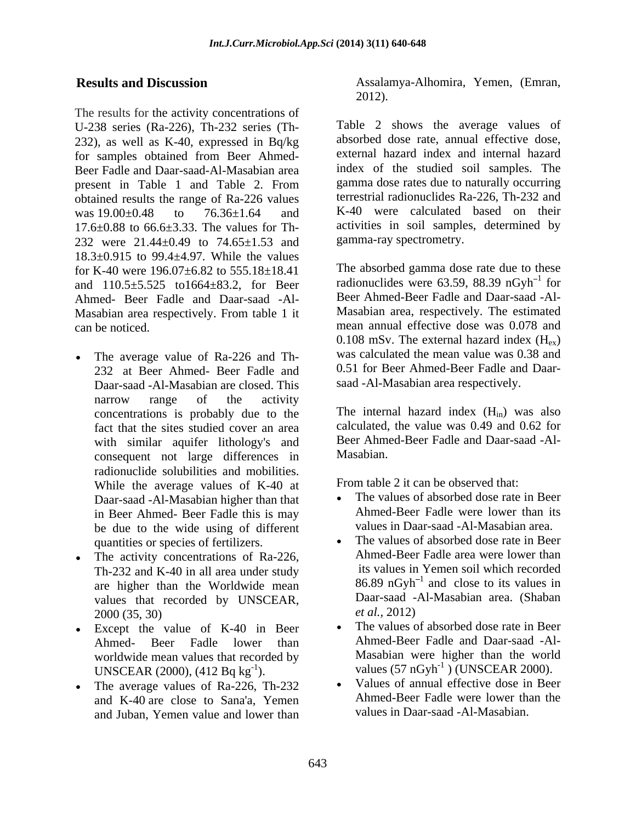The results for the activity concentrations of U-238 series (Ra-226), Th-232 series (Th- 232), as well as K-40, expressed in Bq/kg for samples obtained from Beer Ahmed- Beer Fadle and Daar-saad-Al-Masabian area present in Table 1 and Table 2. From gamma dose rates due to naturally occurring obtained results the range of Ra-226 values was  $19.00 \pm 0.48$  to  $76.36 \pm 1.64$  and K-40 were calculated based on their 17.6±0.88 to 66.6±3.33. The values for Th- 232 were 21.44±0.49 to 74.65±1.53 and 18.3±0.915 to 99.4±4.97. While the values for K-40 were 196.07±6.82 to 555.18±18.41 and 110.5±5.525 to1664±83.2, for Beer Ahmed- Beer Fadle and Daar-saad -Al- Masabian area respectively. From table 1 it can be noticed. mean annual effective dose was 0.078 and

- The average value of Ra-226 and Th- 232 at Beer Ahmed- Beer Fadle and Daar-saad -Al-Masabian are closed. This narrow range of the activity concentrations is probably due to the fact that the sites studied cover an area with similar aquifer lithology's and Beer Ahme<br>
consequent not large differences in Masabian. consequent not large differences in radionuclide solubilities and mobilities. While the average values of K-40 at Fr<br>Daar saad, Al Masshian higher than that Daar-saad -Al-Masabian higher than that in Beer Ahmed- Beer Fadle this is may be due to the wide using of different quantities or species of fertilizers.
- The activity concentrations of Ra-226,  $\bullet$ Th-232 and K-40 in all area under study are higher than the Worldwide mean values that recorded by UNSCEAR, Daar-saad -<br>2000. (35, 30)  $et \, al.,\, 2012$  $2000(35, 30)$  et al., 2012)
- Except the value of K-40 in Beer Ahmed- Beer Fadle lower than worldwide mean values that recorded by UNSCEAR (2000), (412 Bq kg<sup>-1</sup>).<br>The average values of Ra-226, Th-232
- The average values of Ra-226, Th-232 and K-40 are close to Sana'a, Yemen and Juban, Yemen value and lower than

**Results and Discussion** Assalamya-Alhomira, Yemen, (Emran, 2012).

> Table 2 shows the average values of absorbed dose rate, annual effective dose, external hazard index and internal hazard index of the studied soil samples. The gamma dose rates due to naturally occurring terrestrial radionuclides Ra-226, Th-232 and activities in soil samples, determined by gamma-ray spectrometry.

The absorbed gamma dose rate due to these radionuclides were 63.59, 88.39  $nGvh^{-1}$  for  $\frac{1}{2}$  for for Beer Ahmed-Beer Fadle and Daar-saad -Al- Masabian area, respectively. The estimated 0.108 mSv. The external hazard index  $(H_{\infty})$ was calculated the mean value was 0.38 and 0.51 for Beer Ahmed-Beer Fadle and Daar saad -Al-Masabian area respectively.

The internal hazard index  $(H_{in})$  was also calculated, the value was 0.49 and 0.62 for Beer Ahmed-Beer Fadle and Daar-saad -Al- Masabian.

From table 2 it can be observed that:

- The values of absorbed dose rate in Beer Ahmed-Beer Fadle were lower than its values in Daar-saad -Al-Masabian area.
- The values of absorbed dose rate in Beer Ahmed-Beer Fadle area were lower than its values in Yemen soil which recorded  $86.89 \text{ nGyh}^{-1}$  and close to its values in and close to its values in Daar-saad -Al-Masabian area. (Shaban *et al.,* 2012)
- $\text{values } (57 \text{ nGyh}^{-1}) \text{ (UNSCEAR } 2000).$ The values of absorbed dose rate in Beer Ahmed-Beer Fadle and Daar-saad -Al- Masabian were higher than the world
	- Values of annual effective dose in Beer Ahmed-Beer Fadle were lower than the values in Daar-saad -Al-Masabian.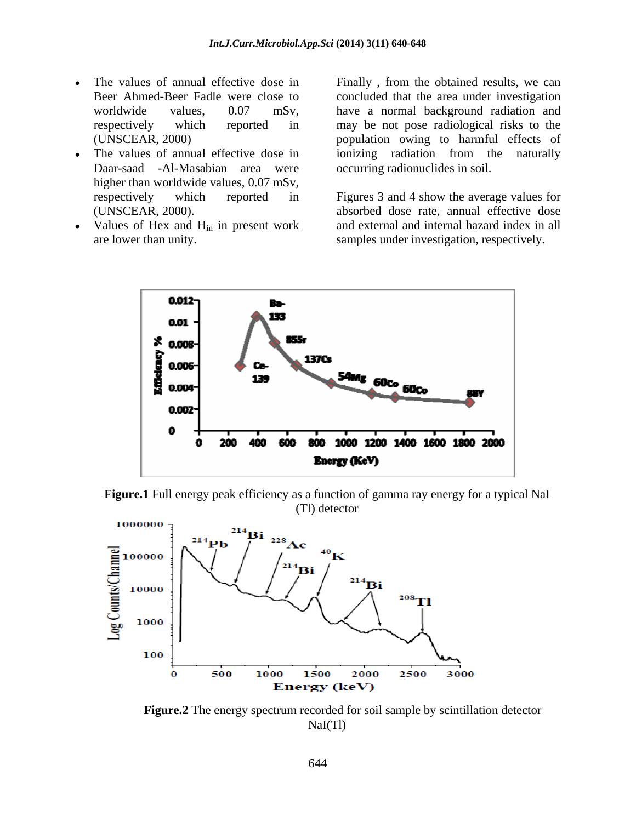- $\bullet$
- Daar-saad -Al-Masabian area were higher than worldwide values, 0.07 mSv,
- Values of Hex and  $H_{in}$  in present work<br>are lower than unity.

The values of annual effective dose in Finally , from the obtained results, we can Beer Ahmed-Beer Fadle were close to concluded that the area under investigation worldwide values, 0.07 mSv, have a normal background radiation and respectively which reported in may be not pose radiological risks to the (UNSCEAR, 2000) population owing to harmful effects of The values of annual effective dose in ionizing radiation from the naturally ionizing radiation from the naturally occurring radionuclides in soil.

respectively which reported in Figures 3 and 4 show the average values for (UNSCEAR, 2000). absorbed dose rate, annual effective dose are lower than unity. samples under investigation, respectively. and external and internal hazard index in all







 **Figure.2** The energy spectrum recorded for soil sample by scintillation detector NaI(Tl)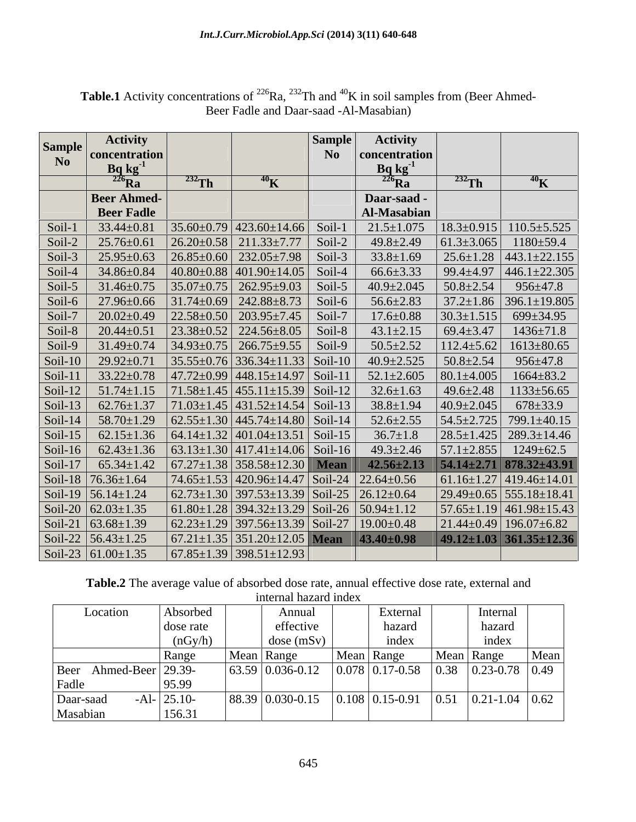| N <sub>0</sub><br>oncentration<br>concentration<br>$\frac{\text{Bq kg}^{\cdot 1}}{226 \text{Ra}}$<br>$\frac{\text{Bq kg}^3}{226 \text{Ra}}$<br>$^{232}$ Th<br>$^{232}$ Th<br>$^{40}$ K<br>$\rm ^{40}K$<br><b>Beer Ahmed-</b><br>Daar-saad<br><b>Beer Fadle</b><br>Al-Masabian<br>$35.60\pm0.79$ 423.60 $\pm14.66$ Soil-1 21.5 $\pm1.075$ 18.3 $\pm0.915$ 110.5 $\pm5.525$<br>$\left  \frac{26.20 \pm 0.58}{211.33 \pm 7.77} \right $ Soil-2<br>$ 61.3 \pm 3.065 $ 1180 $\pm$ 59.4<br>$49.8 \pm 2.49$<br>$\left  26.85 \pm 0.60 \right  232.05 \pm 7.98$ Soil-3<br>$25.6 \pm 1.28$ 443.1 $\pm$ 22.155<br>$33.8 \pm 1.69$<br>$ 40.80\pm0.88 401.90\pm14.05 $ Soil-4<br>$66.6\pm3.33$   99.4 $\pm4.97$   446.1 $\pm22.305$<br>$34.86 \pm 0.84$<br>$35.07 \pm 0.75$ 262.95 $\pm$ 9.03 Soil-5<br>$40.9 \pm 2.045$   $50.8 \pm 2.54$   $956 \pm 47.8$<br>$31.46 \pm 0.75$<br>$37.2 \pm 1.86$ 396.1 $\pm$ 19.805<br>$56.6 \pm 2.83$<br>$\left  \frac{22.58 \pm 0.50}{203.95 \pm 7.45} \right $ Soil-7<br>$17.6 \pm 0.88$<br>$ 30.3 \pm 1.515 $ 699 $\pm 34.95$<br>$\left  23.38 \pm 0.52 \right  224.56 \pm 8.05$ Soil-8<br>$43.1 \pm 2.15$ $69.4 \pm 3.47$ $1436 \pm 71.8$<br>$ 34.93\pm0.75 266.75\pm9.55 Soi1-9 $<br>$112.4 \pm 5.62$ 1613 $\pm 80.65$<br>$31.49 \pm 0.74$<br>$50.5 \pm 2.52$<br>$35.55\pm0.76$ 336.34 $\pm$ 11.33 Soil-10 40.9 $\pm$ 2.525 50.8 $\pm$ 2.54 956 $\pm$ 47.8<br>$\left  47.72 \pm 0.99 \right  448.15 \pm 14.97 \right $ Soil-11 $\left  52.1 \pm 2.605 \right  80.1 \pm 4.005 \right  1664 \pm 83.2$<br>$\left  71.58 \pm 1.45 \right  455.11 \pm 15.39 \right $ Soil-12 $\left  32.6 \pm 1.63 \right $ 49.6 $\pm 2.48$ $\left  1133 \pm 56.65 \right $<br>$ 71.03 \pm 1.45  431.52 \pm 14.54  Soi-13 $ 38.8 $\pm 1.94$ $ 40.9 \pm 2.045   678 \pm 33.9$<br>$\left  62.55 \pm 1.30 \right  445.74 \pm 14.80 \right $ Soil-14<br>$52.6 \pm 2.55$<br>$54.5 \pm 2.725$ 799.1 $\pm 40.15$<br>$\left  \frac{28.5 \pm 1.425}{289.3 \pm 14.46} \right $<br>$\left  67.27 \pm 1.38 \right  358.58 \pm 12.30$ Mean $\left  42.56 \pm 2.13 \right  54.14 \pm 2.71 \left  878.32 \pm 43.92 \right $<br>$74.65 \pm 1.53$ 420.96 $\pm$ 14.47 Soil-24 22.64 $\pm$ 0.56<br>$ 61.16 \pm 1.27 419.46 \pm 14.01$<br>$62.73 \pm 1.30$ 397.53 $\pm$ 13.39 Soil-25 26.12 $\pm$ 0.64<br>$29.49 \pm 0.65$ 555.18 $\pm$ 18.41<br>$(61.80 \pm 1.28)$ 394.32 $\pm$ 13.29 Soil-26 50.94 $\pm$ 1.12<br>$\frac{57.65 \pm 1.19}{461.98 \pm 15.43}$<br>$\left[62.23 \pm 1.29\right]$ 397.56 $\pm$ 13.39 Soil-27   19.00 $\pm$ 0.48<br>$21.44 \pm 0.49$ 196.07 $\pm$ 6.82<br>$\left[67.21 \pm 1.35\right]$ 351.20 $\pm$ 12.05 <b>Mean</b> $\left[43.40 \pm 0.98\right]$<br>$ 49.12 \pm 1.03 361.35 \pm 12.3$ |                         | <b>Activity</b> |  | <b>Activity</b> |  |
|---------------------------------------------------------------------------------------------------------------------------------------------------------------------------------------------------------------------------------------------------------------------------------------------------------------------------------------------------------------------------------------------------------------------------------------------------------------------------------------------------------------------------------------------------------------------------------------------------------------------------------------------------------------------------------------------------------------------------------------------------------------------------------------------------------------------------------------------------------------------------------------------------------------------------------------------------------------------------------------------------------------------------------------------------------------------------------------------------------------------------------------------------------------------------------------------------------------------------------------------------------------------------------------------------------------------------------------------------------------------------------------------------------------------------------------------------------------------------------------------------------------------------------------------------------------------------------------------------------------------------------------------------------------------------------------------------------------------------------------------------------------------------------------------------------------------------------------------------------------------------------------------------------------------------------------------------------------------------------------------------------------------------------------------------------------------------------------------------------------------------------------------------------------------------------------------------------------------------------------------------------------------------------------------------------------------------------------------------------------------------------------------------------------------------------------------------------------------------------------------------------------------------------------------------------------------------------------------------------------------------------------------------------------------------------------------------------|-------------------------|-----------------|--|-----------------|--|
|                                                                                                                                                                                                                                                                                                                                                                                                                                                                                                                                                                                                                                                                                                                                                                                                                                                                                                                                                                                                                                                                                                                                                                                                                                                                                                                                                                                                                                                                                                                                                                                                                                                                                                                                                                                                                                                                                                                                                                                                                                                                                                                                                                                                                                                                                                                                                                                                                                                                                                                                                                                                                                                                                                         | Sampl<br>N <sub>0</sub> |                 |  |                 |  |
| Soil-1   $33.44 \pm 0.81$<br>Soil-2   $25.76 \pm 0.61$<br>Soil-3   $25.95 \pm 0.63$<br>Soil-4<br>Soil-5 $\vert$<br>Soil-6   27.96±0.66   31.74±0.69   242.88±8.73   Soil-6  <br>Soil-7   $20.02 \pm 0.49$<br>Soil-8   $20.44 \pm 0.51$<br>$Soil-9$<br>Soil-10   29.92 $\pm$ 0.71<br>Soil-11 $\vert$ 33.22 $\pm$ 0.78<br>Soil-12   $51.74 \pm 1.15$<br>Soil-13 62.76 $\pm$ 1.37<br>Soil-14   $58.70 \pm 1.29$<br>Soil-15 62.15±1.36 64.14±1.32 401.04±13.51 Soil-15 36.7±1.8<br>Soil-16 62.43±1.36 63.13±1.30 417.41±14.06 Soil-16 49.3±2.46 57.1±2.855 1249±62.5<br>Soil-17 65.34 $\pm$ 1.42<br>Soil-18 $76.36 \pm 1.64$<br>Soil-19 $56.14 \pm 1.24$<br>Soil-20 $62.03 \pm 1.35$<br>Soil-21 $\vert$ 63.68±1.39<br>Soil-22 $56.43 \pm 1.25$                                                                                                                                                                                                                                                                                                                                                                                                                                                                                                                                                                                                                                                                                                                                                                                                                                                                                                                                                                                                                                                                                                                                                                                                                                                                                                                                                                                                                                                                                                                                                                                                                                                                                                                                                                                                                                                                                                                                                              |                         |                 |  |                 |  |
|                                                                                                                                                                                                                                                                                                                                                                                                                                                                                                                                                                                                                                                                                                                                                                                                                                                                                                                                                                                                                                                                                                                                                                                                                                                                                                                                                                                                                                                                                                                                                                                                                                                                                                                                                                                                                                                                                                                                                                                                                                                                                                                                                                                                                                                                                                                                                                                                                                                                                                                                                                                                                                                                                                         |                         |                 |  |                 |  |
|                                                                                                                                                                                                                                                                                                                                                                                                                                                                                                                                                                                                                                                                                                                                                                                                                                                                                                                                                                                                                                                                                                                                                                                                                                                                                                                                                                                                                                                                                                                                                                                                                                                                                                                                                                                                                                                                                                                                                                                                                                                                                                                                                                                                                                                                                                                                                                                                                                                                                                                                                                                                                                                                                                         |                         |                 |  |                 |  |
|                                                                                                                                                                                                                                                                                                                                                                                                                                                                                                                                                                                                                                                                                                                                                                                                                                                                                                                                                                                                                                                                                                                                                                                                                                                                                                                                                                                                                                                                                                                                                                                                                                                                                                                                                                                                                                                                                                                                                                                                                                                                                                                                                                                                                                                                                                                                                                                                                                                                                                                                                                                                                                                                                                         |                         |                 |  |                 |  |
|                                                                                                                                                                                                                                                                                                                                                                                                                                                                                                                                                                                                                                                                                                                                                                                                                                                                                                                                                                                                                                                                                                                                                                                                                                                                                                                                                                                                                                                                                                                                                                                                                                                                                                                                                                                                                                                                                                                                                                                                                                                                                                                                                                                                                                                                                                                                                                                                                                                                                                                                                                                                                                                                                                         |                         |                 |  |                 |  |
|                                                                                                                                                                                                                                                                                                                                                                                                                                                                                                                                                                                                                                                                                                                                                                                                                                                                                                                                                                                                                                                                                                                                                                                                                                                                                                                                                                                                                                                                                                                                                                                                                                                                                                                                                                                                                                                                                                                                                                                                                                                                                                                                                                                                                                                                                                                                                                                                                                                                                                                                                                                                                                                                                                         |                         |                 |  |                 |  |
|                                                                                                                                                                                                                                                                                                                                                                                                                                                                                                                                                                                                                                                                                                                                                                                                                                                                                                                                                                                                                                                                                                                                                                                                                                                                                                                                                                                                                                                                                                                                                                                                                                                                                                                                                                                                                                                                                                                                                                                                                                                                                                                                                                                                                                                                                                                                                                                                                                                                                                                                                                                                                                                                                                         |                         |                 |  |                 |  |
|                                                                                                                                                                                                                                                                                                                                                                                                                                                                                                                                                                                                                                                                                                                                                                                                                                                                                                                                                                                                                                                                                                                                                                                                                                                                                                                                                                                                                                                                                                                                                                                                                                                                                                                                                                                                                                                                                                                                                                                                                                                                                                                                                                                                                                                                                                                                                                                                                                                                                                                                                                                                                                                                                                         |                         |                 |  |                 |  |
|                                                                                                                                                                                                                                                                                                                                                                                                                                                                                                                                                                                                                                                                                                                                                                                                                                                                                                                                                                                                                                                                                                                                                                                                                                                                                                                                                                                                                                                                                                                                                                                                                                                                                                                                                                                                                                                                                                                                                                                                                                                                                                                                                                                                                                                                                                                                                                                                                                                                                                                                                                                                                                                                                                         |                         |                 |  |                 |  |
|                                                                                                                                                                                                                                                                                                                                                                                                                                                                                                                                                                                                                                                                                                                                                                                                                                                                                                                                                                                                                                                                                                                                                                                                                                                                                                                                                                                                                                                                                                                                                                                                                                                                                                                                                                                                                                                                                                                                                                                                                                                                                                                                                                                                                                                                                                                                                                                                                                                                                                                                                                                                                                                                                                         |                         |                 |  |                 |  |
|                                                                                                                                                                                                                                                                                                                                                                                                                                                                                                                                                                                                                                                                                                                                                                                                                                                                                                                                                                                                                                                                                                                                                                                                                                                                                                                                                                                                                                                                                                                                                                                                                                                                                                                                                                                                                                                                                                                                                                                                                                                                                                                                                                                                                                                                                                                                                                                                                                                                                                                                                                                                                                                                                                         |                         |                 |  |                 |  |
|                                                                                                                                                                                                                                                                                                                                                                                                                                                                                                                                                                                                                                                                                                                                                                                                                                                                                                                                                                                                                                                                                                                                                                                                                                                                                                                                                                                                                                                                                                                                                                                                                                                                                                                                                                                                                                                                                                                                                                                                                                                                                                                                                                                                                                                                                                                                                                                                                                                                                                                                                                                                                                                                                                         |                         |                 |  |                 |  |
|                                                                                                                                                                                                                                                                                                                                                                                                                                                                                                                                                                                                                                                                                                                                                                                                                                                                                                                                                                                                                                                                                                                                                                                                                                                                                                                                                                                                                                                                                                                                                                                                                                                                                                                                                                                                                                                                                                                                                                                                                                                                                                                                                                                                                                                                                                                                                                                                                                                                                                                                                                                                                                                                                                         |                         |                 |  |                 |  |
|                                                                                                                                                                                                                                                                                                                                                                                                                                                                                                                                                                                                                                                                                                                                                                                                                                                                                                                                                                                                                                                                                                                                                                                                                                                                                                                                                                                                                                                                                                                                                                                                                                                                                                                                                                                                                                                                                                                                                                                                                                                                                                                                                                                                                                                                                                                                                                                                                                                                                                                                                                                                                                                                                                         |                         |                 |  |                 |  |
|                                                                                                                                                                                                                                                                                                                                                                                                                                                                                                                                                                                                                                                                                                                                                                                                                                                                                                                                                                                                                                                                                                                                                                                                                                                                                                                                                                                                                                                                                                                                                                                                                                                                                                                                                                                                                                                                                                                                                                                                                                                                                                                                                                                                                                                                                                                                                                                                                                                                                                                                                                                                                                                                                                         |                         |                 |  |                 |  |
|                                                                                                                                                                                                                                                                                                                                                                                                                                                                                                                                                                                                                                                                                                                                                                                                                                                                                                                                                                                                                                                                                                                                                                                                                                                                                                                                                                                                                                                                                                                                                                                                                                                                                                                                                                                                                                                                                                                                                                                                                                                                                                                                                                                                                                                                                                                                                                                                                                                                                                                                                                                                                                                                                                         |                         |                 |  |                 |  |
|                                                                                                                                                                                                                                                                                                                                                                                                                                                                                                                                                                                                                                                                                                                                                                                                                                                                                                                                                                                                                                                                                                                                                                                                                                                                                                                                                                                                                                                                                                                                                                                                                                                                                                                                                                                                                                                                                                                                                                                                                                                                                                                                                                                                                                                                                                                                                                                                                                                                                                                                                                                                                                                                                                         |                         |                 |  |                 |  |
|                                                                                                                                                                                                                                                                                                                                                                                                                                                                                                                                                                                                                                                                                                                                                                                                                                                                                                                                                                                                                                                                                                                                                                                                                                                                                                                                                                                                                                                                                                                                                                                                                                                                                                                                                                                                                                                                                                                                                                                                                                                                                                                                                                                                                                                                                                                                                                                                                                                                                                                                                                                                                                                                                                         |                         |                 |  |                 |  |
|                                                                                                                                                                                                                                                                                                                                                                                                                                                                                                                                                                                                                                                                                                                                                                                                                                                                                                                                                                                                                                                                                                                                                                                                                                                                                                                                                                                                                                                                                                                                                                                                                                                                                                                                                                                                                                                                                                                                                                                                                                                                                                                                                                                                                                                                                                                                                                                                                                                                                                                                                                                                                                                                                                         |                         |                 |  |                 |  |
|                                                                                                                                                                                                                                                                                                                                                                                                                                                                                                                                                                                                                                                                                                                                                                                                                                                                                                                                                                                                                                                                                                                                                                                                                                                                                                                                                                                                                                                                                                                                                                                                                                                                                                                                                                                                                                                                                                                                                                                                                                                                                                                                                                                                                                                                                                                                                                                                                                                                                                                                                                                                                                                                                                         |                         |                 |  |                 |  |
|                                                                                                                                                                                                                                                                                                                                                                                                                                                                                                                                                                                                                                                                                                                                                                                                                                                                                                                                                                                                                                                                                                                                                                                                                                                                                                                                                                                                                                                                                                                                                                                                                                                                                                                                                                                                                                                                                                                                                                                                                                                                                                                                                                                                                                                                                                                                                                                                                                                                                                                                                                                                                                                                                                         |                         |                 |  |                 |  |
|                                                                                                                                                                                                                                                                                                                                                                                                                                                                                                                                                                                                                                                                                                                                                                                                                                                                                                                                                                                                                                                                                                                                                                                                                                                                                                                                                                                                                                                                                                                                                                                                                                                                                                                                                                                                                                                                                                                                                                                                                                                                                                                                                                                                                                                                                                                                                                                                                                                                                                                                                                                                                                                                                                         |                         |                 |  |                 |  |
|                                                                                                                                                                                                                                                                                                                                                                                                                                                                                                                                                                                                                                                                                                                                                                                                                                                                                                                                                                                                                                                                                                                                                                                                                                                                                                                                                                                                                                                                                                                                                                                                                                                                                                                                                                                                                                                                                                                                                                                                                                                                                                                                                                                                                                                                                                                                                                                                                                                                                                                                                                                                                                                                                                         |                         |                 |  |                 |  |
|                                                                                                                                                                                                                                                                                                                                                                                                                                                                                                                                                                                                                                                                                                                                                                                                                                                                                                                                                                                                                                                                                                                                                                                                                                                                                                                                                                                                                                                                                                                                                                                                                                                                                                                                                                                                                                                                                                                                                                                                                                                                                                                                                                                                                                                                                                                                                                                                                                                                                                                                                                                                                                                                                                         |                         |                 |  |                 |  |
|                                                                                                                                                                                                                                                                                                                                                                                                                                                                                                                                                                                                                                                                                                                                                                                                                                                                                                                                                                                                                                                                                                                                                                                                                                                                                                                                                                                                                                                                                                                                                                                                                                                                                                                                                                                                                                                                                                                                                                                                                                                                                                                                                                                                                                                                                                                                                                                                                                                                                                                                                                                                                                                                                                         |                         |                 |  |                 |  |
|                                                                                                                                                                                                                                                                                                                                                                                                                                                                                                                                                                                                                                                                                                                                                                                                                                                                                                                                                                                                                                                                                                                                                                                                                                                                                                                                                                                                                                                                                                                                                                                                                                                                                                                                                                                                                                                                                                                                                                                                                                                                                                                                                                                                                                                                                                                                                                                                                                                                                                                                                                                                                                                                                                         |                         |                 |  |                 |  |
| Soil-23 $61.00 \pm 1.35$<br>$\left[67.85 \pm 1.39\right]$ 398.51 $\pm$ 12.93                                                                                                                                                                                                                                                                                                                                                                                                                                                                                                                                                                                                                                                                                                                                                                                                                                                                                                                                                                                                                                                                                                                                                                                                                                                                                                                                                                                                                                                                                                                                                                                                                                                                                                                                                                                                                                                                                                                                                                                                                                                                                                                                                                                                                                                                                                                                                                                                                                                                                                                                                                                                                            |                         |                 |  |                 |  |

**Table.1** Activity concentrations of <sup>226</sup>Ra, <sup>232</sup>Th and <sup>40</sup>K in soil samples from (Beer Ahmed-Beer Fadle and Daar-saad -Al-Masabian)

**Table.2** The average value of absorbed dose rate, annual effective dose rate, external and internal hazard index

| Location               | Absorbed      | Annual                    | External                              | Internal                                     |      |
|------------------------|---------------|---------------------------|---------------------------------------|----------------------------------------------|------|
|                        | dose rate     | effective                 | hazard                                | hazard                                       |      |
|                        | (nGy/h)       | dose(mSv)                 | index                                 | index                                        |      |
|                        | Range         | Mean Range                | Mean Range                            | Mean Range                                   | Mean |
| Beer Ahmed-Beer 29.39- |               | $63.59 \mid 0.036 - 0.12$ | $\vert 0.078 \vert 0.17 - 0.58 \vert$ | $\vert 0.23 - 0.78 \vert 0.49 \vert$<br>0.38 |      |
| Fadle                  | 95.99         |                           |                                       |                                              |      |
| Daar-saad              | $-Al-$ 25.10- | 88.39 0.030-0.15          | $0.108 \mid 0.15 - 0.91$              | $ 0.21 - 1.04$<br>10.51<br>0.31              | 0.62 |
| Masabian               | 156.31        |                           |                                       |                                              |      |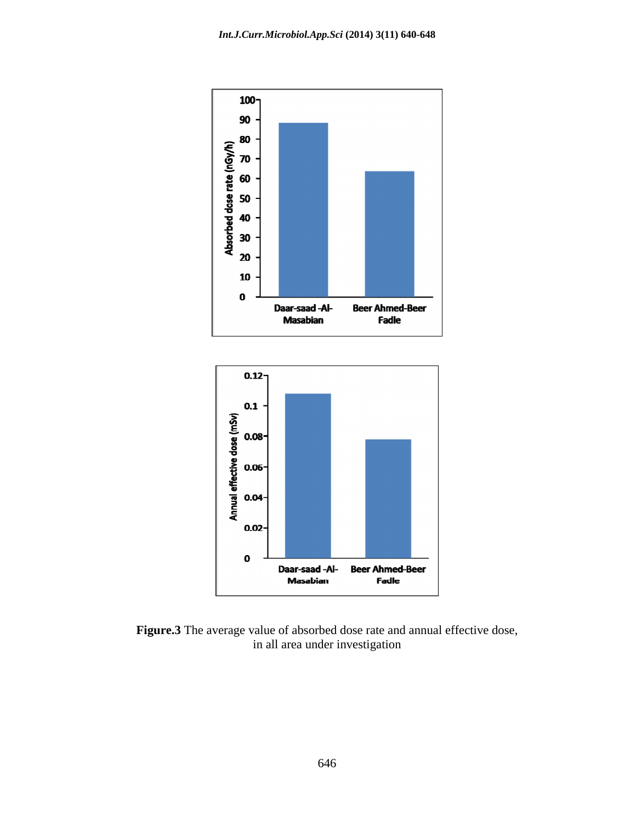

in all area under investigation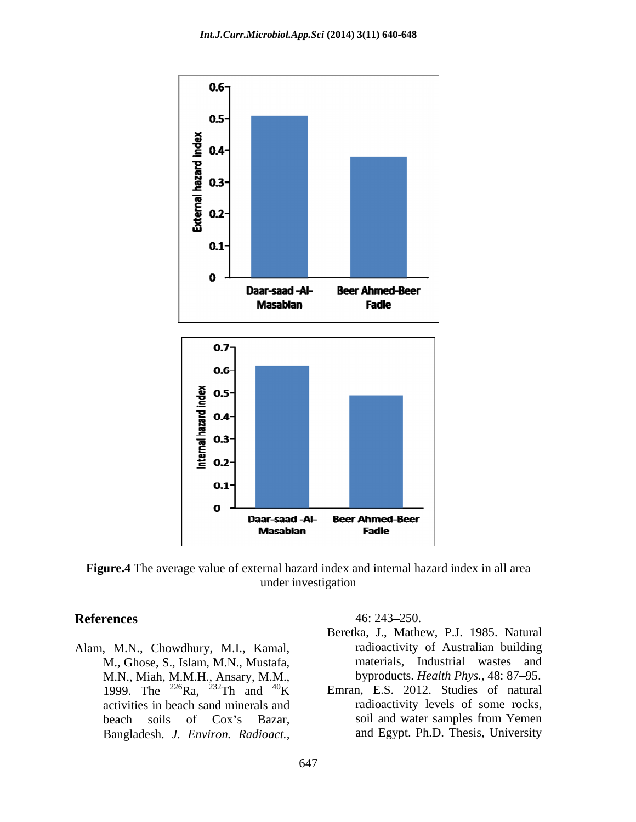

**Figure.4** The average value of external hazard index and internal hazard index in all area under investigation

Alam, M.N., Chowdhury, M.I., Kamal, M., Ghose, S., Islam, M.N., Mustafa, M.N., Miah, M.M.H., Ansary, M.M., 1999. The <sup>226</sup>Ra, <sup>232</sup>Th and <sup>40</sup>K activities in beach sand minerals and **EXECUTE:** 16: 243–250.<br>
Beretka, J., Mathew, P.J. 1985. Natural<br>
M., Ghose, S., Islam, M.N., Mustafa, materials, Industrial wastes and<br>
M.N., Miah, M.M.H., Ansary, M.M., byproducts. *Health Phys.*, 48: 87–95.<br>
1999. The <sup></sup>

**References** 46: 243–250.

- Beretka, J., Mathew, P.J. 1985. Natural radioactivity of Australian building materials, Industrial wastes and byproducts. *Health Phys.*, 48: 87-95.
- 1999. The <sup>226</sup>Ra, <sup>232</sup>Th and <sup>40</sup>K Emran, E.S. 2012. Studies of natural beach soils of Cox's Bazar, soil and water samples from Yemen radioactivity levels of some rocks, soil and water samples from Yemen and Egypt. Ph.D. Thesis, University